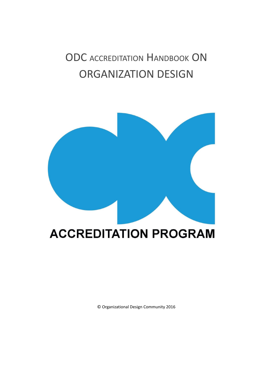# ODC ACCREDITATION HANDBOOK ON ORGANIZATION DESIGN



© Organizational Design Community 2016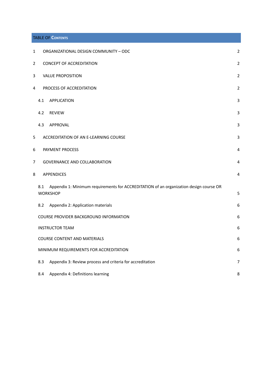### TABLE OF **CONTENTS**

| $\mathbf{1}$   |                                 | ORGANIZATIONAL DESIGN COMMUNITY - ODC                                                                     | $\overline{2}$ |
|----------------|---------------------------------|-----------------------------------------------------------------------------------------------------------|----------------|
| $\overline{2}$ | <b>CONCEPT OF ACCREDITATION</b> |                                                                                                           | $\overline{2}$ |
| 3              |                                 | <b>VALUE PROPOSITION</b>                                                                                  | 2              |
| 4              |                                 | PROCESS OF ACCREDITATION                                                                                  | 2              |
|                | 4.1                             | <b>APPLICATION</b>                                                                                        | 3              |
|                | 4.2                             | <b>REVIEW</b>                                                                                             | 3              |
|                | 4.3                             | APPROVAL                                                                                                  | 3              |
| 5              |                                 | ACCREDITATION OF AN E-LEARNING COURSE                                                                     | 3              |
| 6              |                                 | PAYMENT PROCESS                                                                                           | 4              |
| 7              |                                 | <b>GOVERNANCE AND COLLABORATION</b>                                                                       | 4              |
| 8              |                                 | <b>APPENDICES</b>                                                                                         | 4              |
|                | 8.1                             | Appendix 1: Minimum requirements for ACCREDITATION of an organization design course OR<br><b>WORKSHOP</b> | 5              |
|                | 8.2                             | Appendix 2: Application materials                                                                         | 6              |
|                |                                 | COURSE PROVIDER BACKGROUND INFORMATION                                                                    | 6              |
|                |                                 | <b>INSTRUCTOR TEAM</b>                                                                                    | 6              |
|                |                                 | <b>COURSE CONTENT AND MATERIALS</b>                                                                       |                |
|                |                                 | MINIMUM REQUIREMENTS FOR ACCREDITATION                                                                    | 6              |
|                | 8.3                             | Appendix 3: Review process and criteria for accreditation                                                 | 7              |
|                | 8.4                             | Appendix 4: Definitions learning                                                                          | 8              |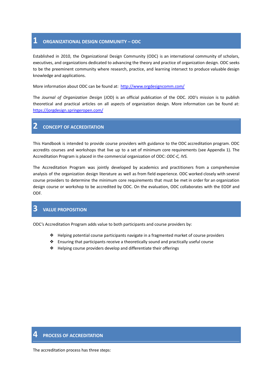## <span id="page-2-0"></span>**1 ORGANIZATIONAL DESIGN COMMUNITY – ODC**

Established in 2010, the Organizational Design Community (ODC) is an international community of scholars, executives, and organizations dedicated to advancing the theory and practice of organization design. ODC seeks to be the preeminent community where research, practice, and learning intersect to produce valuable design knowledge and applications.

More information about ODC can be found at: <http://www.orgdesigncomm.com/>

The *Journal of Organization Design* (JOD) is an official publication of the ODC. JOD's mission is to publish theoretical and practical articles on all aspects of organization design. More information can be found at: <https://jorgdesign.springeropen.com/>

## <span id="page-2-1"></span>**2 CONCEPT OF ACCREDITATION**

This Handbook is intended to provide course providers with guidance to the ODC accreditation program. ODC accredits courses and workshops that live up to a set of minimum core requirements (see Appendix 1). The Accreditation Program is placed in the commercial organization of ODC: *ODC-C, IVS.*

The Accreditation Program was jointly developed by academics and practitioners from a comprehensive analysis of the organization design literature as well as from field experience. ODC worked closely with several course providers to determine the minimum core requirements that must be met in order for an organization design course or workshop to be accredited by ODC. On the evaluation, ODC collaborates with the EODF and ODF.

# <span id="page-2-2"></span>**3 VALUE PROPOSITION**

ODC's Accreditation Program adds value to both participants and course providers by:

- ❖ Helping potential course participants navigate in a fragmented market of course providers
- ❖ Ensuring that participants receive a theoretically sound and practically useful course
- ❖ Helping course providers develop and differentiate their offerings

## <span id="page-2-3"></span>**4 PROCESS OF ACCREDITATION**

The accreditation process has three steps: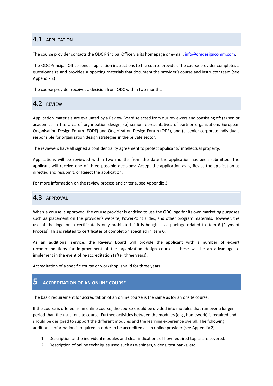## <span id="page-3-0"></span>4.1 APPLICATION

The course provider contacts the ODC Principal Office via its homepage or e-mail: [info@orgdesigncomm.com](mailto:info@orgdesigncomm.com).

The ODC Principal Office sends application instructions to the course provider. The course provider completes a questionnaire and provides supporting materials that document the provider's course and instructor team (see Appendix 2).

The course provider receives a decision from ODC within two months.

# <span id="page-3-1"></span>4.2 REVIEW

Application materials are evaluated by a Review Board selected from our reviewers and consisting of: (a) senior academics in the area of organization design, (b) senior representatives of partner organizations European Organisation Design Forum (EODF) and Organization Design Forum (ODF), and (c) senior corporate individuals responsible for organization design strategies in the private sector.

The reviewers have all signed a confidentiality agreement to protect applicants' intellectual property.

Applications will be reviewed within two months from the date the application has been submitted. The applicant will receive one of three possible decisions: Accept the application as is, Revise the application as directed and resubmit, or Reject the application.

For more information on the review process and criteria, see Appendix 3.

## <span id="page-3-2"></span>4.3 APPROVAL

When a course is approved, the course provider is entitled to use the ODC logo for its own marketing purposes such as placement on the provider's website, PowerPoint slides, and other program materials. However, the use of the logo on a certificate is only prohibited if it is bought as a package related to item 6 (Payment Process). This is related to certificates of completion specified in item 6.

As an additional service, the Review Board will provide the applicant with a number of expert recommendations for improvement of the organization design course – these will be an advantage to implement in the event of re-accreditation (after three years).

Accreditation of a specific course or workshop is valid for three years.

# <span id="page-3-3"></span>**5 ACCREDITATION OF AN ONLINE COURSE**

The basic requirement for accreditation of an online course is the same as for an onsite course.

If the course is offered as an online course, the course should be divided into modules that run over a longer period than the usual onsite course. Further, activities between the modules (e.g., homework) is required and should be designed to support the different modules and the learning experience overall. The following additional information is required in order to be accredited as an online provider (see Appendix 2):

- 1. Description of the individual modules and clear indications of how required topics are covered.
- 2. Description of online techniques used such as webinars, videos, test banks, etc.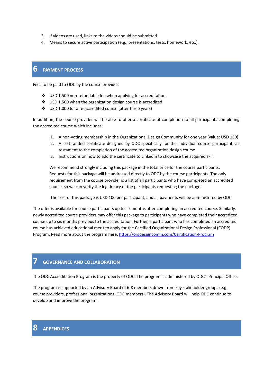- 3. If videos are used, links to the videos should be submitted.
- 4. Means to secure active participation (e.g., presentations, tests, homework, etc.).

## <span id="page-4-0"></span>**6 PAYMENT PROCESS**

Fees to be paid to ODC by the course provider:

- ❖ USD 1,500 non-refundable fee when applying for accreditation
- ❖ USD 1,500 when the organization design course is accredited
- ❖ USD 1,000 for a re-accredited course (after three years)

In addition, the course provider will be able to offer a certificate of completion to all participants completing the accredited course which includes:

- 1. A non-voting membership in the Organizational Design Community for one year (value: USD 150)
- 2. A co-branded certificate designed by ODC specifically for the individual course participant, as testament to the completion of the accredited organization design course
- 3. Instructions on how to add the certificate to LinkedIn to showcase the acquired skill

We recommend strongly including this package in the total price for the course participants. Requests for this package will be addressed directly to ODC by the course participants. The only requirement from the course provider is a list of all participants who have completed an accredited course, so we can verify the legitimacy of the participants requesting the package.

The cost of this package is USD 100 per participant, and all payments will be administered by ODC.

The offer is available for course participants up to six months after completing an accredited course. Similarly, newly accredited course providers may offer this package to participants who have completed their accredited course up to six months previous to the accreditation. Further, a participant who has completed an accredited course has achieved educational merit to apply for the Certified Organizational Design Professional (CODP) Program. Read more about the program here: <https://orgdesigncomm.com/Certification-Program>

## <span id="page-4-1"></span>**7 GOVERNANCE AND COLLABORATION**

The ODC Accreditation Program is the property of ODC. The program is administered by ODC's Principal Office.

The program is supported by an Advisory Board of 6-8 members drawn from key stakeholder groups (e.g., course providers, professional organizations, ODC members). The Advisory Board will help ODC continue to develop and improve the program.

# <span id="page-4-2"></span>**8 APPENDICES**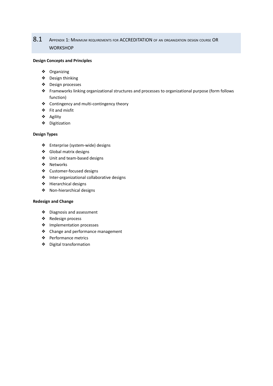# <span id="page-5-0"></span>8.1 Appendix 1: Minimum requirements for ACCREDITATION of an organization design course OR **WORKSHOP**

#### **Design Concepts and Principles**

- ❖ Organizing
- ❖ Design thinking
- ❖ Design processes
- ❖ Frameworks linking organizational structures and processes to organizational purpose (form follows function)
- ❖ Contingency and multi-contingency theory
- ❖ Fit and misfit
- ❖ Agility
- ❖ Digitization

#### **Design Types**

- ❖ Enterprise (system-wide) designs
- ❖ Global matrix designs
- ❖ Unit and team-based designs
- ❖ Networks
- ❖ Customer-focused designs
- ❖ Inter-organizational collaborative designs
- ❖ Hierarchical designs
- ❖ Non-hierarchical designs

#### **Redesign and Change**

- ❖ Diagnosis and assessment
- ❖ Redesign process
- ❖ Implementation processes
- ❖ Change and performance management
- ❖ Performance metrics
- ❖ Digital transformation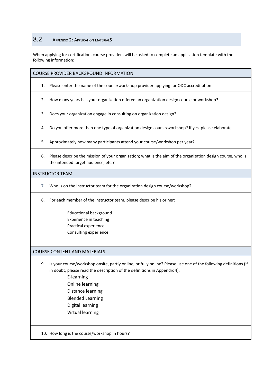## <span id="page-6-0"></span>8.2 APPENDIX 2: APPLICATION MATERIALS

When applying for certification, course providers will be asked to complete an application template with the following information:

#### <span id="page-6-1"></span>COURSE PROVIDER BACKGROUND INFORMATION

- 1. Please enter the name of the course/workshop provider applying for ODC accreditation
- 2. How many years has your organization offered an organization design course or workshop?
- 3. Does your organization engage in consulting on organization design?
- 4. Do you offer more than one type of organization design course/workshop? If yes, please elaborate
- 5. Approximately how many participants attend your course/workshop per year?
- 6. Please describe the mission of your organization; what is the aim of the organization design course, who is the intended target audience, etc.?

#### <span id="page-6-2"></span>INSTRUCTOR TEAM

- 7. Who is on the instructor team for the organization design course/workshop?
- 8. For each member of the instructor team, please describe his or her:
	- Educational background Experience in teaching Practical experience Consulting experience

#### <span id="page-6-3"></span>COURSE CONTENT AND MATERIALS

- 9. Is your course/workshop onsite, partly online, or fully online? Please use one of the following definitions (if in doubt, please read the description of the definitions in Appendix 4):
	- E-learning Online learning
	- Distance learning
	- Blended Learning
	- Digital learning
	- Virtual learning

10. How long is the course/workshop in hours?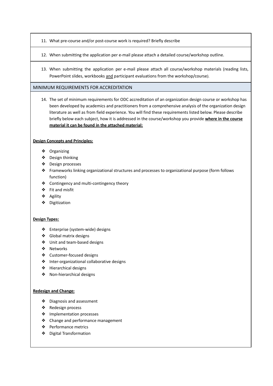- 11. What pre-course and/or post-course work is required? Briefly describe
- 12. When submitting the application per e-mail please attach a detailed course/workshop outline.
- 13. When submitting the application per e-mail please attach all course/workshop materials (reading lists, PowerPoint slides, workbooks and participant evaluations from the workshop/course).

## <span id="page-7-0"></span>MINIMUM REQUIREMENTS FOR ACCREDITATION

14. The set of minimum requirements for ODC accreditation of an organization design course or workshop has been developed by academics and practitioners from a comprehensive analysis of the organization design literature as well as from field experience. You will find these requirements listed below. Please describe briefly below each subject, how it is addressed in the course/workshop you provide **where in the course material it can be found in the attached material:**

### **Design Concepts and Principles:**

- ❖ Organizing
- ❖ Design thinking
- ❖ Design processes
- ❖ Frameworks linking organizational structures and processes to organizational purpose (form follows function)
- ❖ Contingency and multi-contingency theory
- ❖ Fit and misfit
- ❖ Agility
- ❖ Digitization

### **Design Types:**

- ❖ Enterprise (system-wide) designs
- ❖ Global matrix designs
- ❖ Unit and team-based designs
- ❖ Networks
- ❖ Customer-focused designs
- ❖ Inter-organizational collaborative designs
- ❖ Hierarchical designs
- ❖ Non-hierarchical designs

#### **Redesign and Change:**

- ❖ Diagnosis and assessment
- ❖ Redesign process
- ❖ Implementation processes
- ❖ Change and performance management
- ❖ Performance metrics
- ❖ Digital Transformation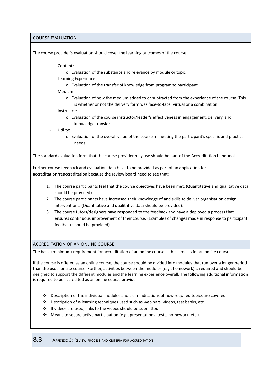COURSE EVALUATION

The course provider's evaluation should cover the learning outcomes of the course:

- Content:
	- o Evaluation of the substance and relevance by module or topic
	- Learning Experience:
		- o Evaluation of the transfer of knowledge from program to participant
- Medium:
	- o Evaluation of how the medium added to or subtracted from the experience of the course. This is whether or not the delivery form was face-to-face, virtual or a combination.
- Instructor:
	- o Evaluation of the course instructor/leader's effectiveness in engagement, delivery, and knowledge transfer
- Utility:
	- o Evaluation of the overall value of the course in meeting the participant's specific and practical needs

The standard evaluation form that the course provider may use should be part of the Accreditation handbook.

Further course feedback and evaluation data have to be provided as part of an application for accreditation/reaccreditation because the review board need to see that:

- 1. The course participants feel that the course objectives have been met. (Quantitative and qualitative data should be provided).
- 2. The course participants have increased their knowledge of and skills to deliver organisation design interventions. (Quantitative and qualitative data should be provided).
- 3. The course tutors/designers have responded to the feedback and have a deployed a process that ensures continuous improvement of their course. (Examples of changes made in response to participant feedback should be provided).

## ACCREDITATION OF AN ONLINE COURSE

The basic (minimum) requirement for accreditation of an online course is the same as for an onsite course.

If the course is offered as an online course, the course should be divided into modules that run over a longer period than the usual onsite course. Further, activities between the modules (e.g., homework) is required and should be designed to support the different modules and the learning experience overall. The following additional information is required to be accredited as an online course provider:

- ❖ Description of the individual modules and clear indications of how required topics are covered.
- ❖ Description of e-learning techniques used such as webinars, videos, test banks, etc.
- ❖ If videos are used, links to the videos should be submitted.
- <span id="page-8-0"></span>❖ Means to secure active participation (e.g., presentations, tests, homework, etc.).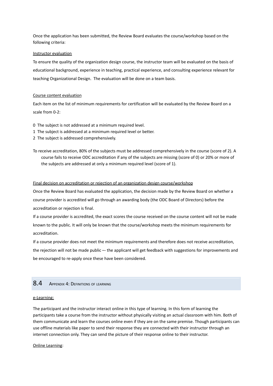Once the application has been submitted, the Review Board evaluates the course/workshop based on the following criteria:

#### Instructor evaluation

To ensure the quality of the organization design course, the instructor team will be evaluated on the basis of educational background, experience in teaching, practical experience, and consulting experience relevant for teaching Organizational Design. The evaluation will be done on a team basis.

#### Course content evaluation

Each item on the list of minimum requirements for certification will be evaluated by the Review Board on a scale from 0-2:

- 0 The subject is not addressed at a minimum required level.
- 1 The subject is addressed at a minimum required level or better.
- 2 The subject is addressed comprehensively.
- To receive accreditation, 80% of the subjects must be addressed comprehensively in the course (score of 2). A course fails to receive ODC accreditation if any of the subjects are missing (score of 0) or 20% or more of the subjects are addressed at only a minimum required level (score of 1).

#### Final decision on accreditation or rejection of an organization design course/workshop

Once the Review Board has evaluated the application, the decision made by the Review Board on whether a course provider is accredited will go through an awarding body (the ODC Board of Directors) before the accreditation or rejection is final.

If a course provider is accredited, the exact scores the course received on the course content will not be made known to the public. It will only be known that the course/workshop meets the minimum requirements for accreditation.

If a course provider does not meet the minimum requirements and therefore does not receive accreditation, the rejection will not be made public -- the applicant will get feedback with suggestions for improvements and be encouraged to re-apply once these have been considered.

## <span id="page-9-0"></span>8.4 APPENDIX 4: DEFINITIONS OF LEARNING

#### e-Learning:

The participant and the instructor interact online in this type of learning. In this form of learning the participants take a course from the instructor without physically visiting an actual classroom with him. Both of them communicate and learn the courses online even if they are on the same premise. Though participants can use offline materials like paper to send their response they are connected with their instructor through an internet connection only. They can send the picture of their response online to their instructor.

#### Online Learning: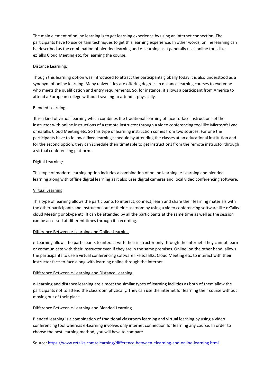The main element of online [learning](https://www.eztalks.com/elearning/what-is-online-learning.html) is to get learning experience by using an internet connection. The participants have to use certain techniques to get this learning experience. In other words, online learning can be described as the combination of blended learning and e-Learning as it generally uses online tools like ezTalks Cloud Meeting etc. for learning the course.

#### Distance [Learning:](https://www.eztalks.com/elearning/distance-learning-by-video-conferencing.html)

Though this learning option was introduced to attract the participants globally today it is also understood as a synonym of online learning. Many universities are offering degrees in distance learning courses to everyone who meets the qualification and entry requirements. So, for instance, it allows a participant from America to attend a European college without traveling to attend it physically.

### Blended Learning:

It is a kind of virtual learning which combines the traditional learning of face-to-face instructions of the instructor with online instructions of a remote instructor through a video conferencing tool like Microsoft Lync or ezTalks Cloud [Meeting](https://www.eztalks.com/shop/index) etc. So this type of learning instruction comes from two sources. For one the participants have to follow a fixed learning schedule by attending the classes at an educational institution and for the second option, they can schedule their timetable to get instructions from the remote instructor through a virtual conferencing platform.

### Digital Learning:

This type of modern learning option includes a combination of online learning, e-Learning and blended learning along with offline digital learning as it also uses digital cameras and local video [conferencing](https://www.eztalks.com/video-conference/best-video-conferencing-software.html) software.

### Virtual Learning:

This type of learning allows the participants to interact, connect, learn and share their learning materials with the other participants and instructors out of their classroom by using a video conferencing software like ezTalks cloud Meeting or Skype etc. It can be attended by all the participants at the same time as well as the session can be accessed at different times through its recording.

#### Difference Between e-Learning and Online Learning

e-Learning allows the participants to interact with their instructor only through the internet. They cannot learn or communicate with their instructor even if they are in the same premises. Online, on the other hand, allows the participants to use a virtual conferencing software like ezTalks, Cloud Meeting etc. to interact with their instructor face-to-face along with learning online through the internet.

#### Difference Between e-Learning and Distance Learning

e-Learning and distance learning are almost the similar types of learning facilities as both of them allow the participants not to attend the classroom physically. They can use the internet for learning their course without moving out of their place.

## Difference Between e-Learning and Blended Learning

Blended learning is a combination of traditional classroom learning and virtual learning by using a [video](https://www.eztalks.com/video-conference/free-video-conferencing-tools.html) [conferencing](https://www.eztalks.com/video-conference/free-video-conferencing-tools.html) tool whereas e-Learning involves only internet connection for learning any course. In order to choose the best learning method, you will have to compare.

Source: <https://www.eztalks.com/elearning/difference-between-elearning-and-online-learning.html>